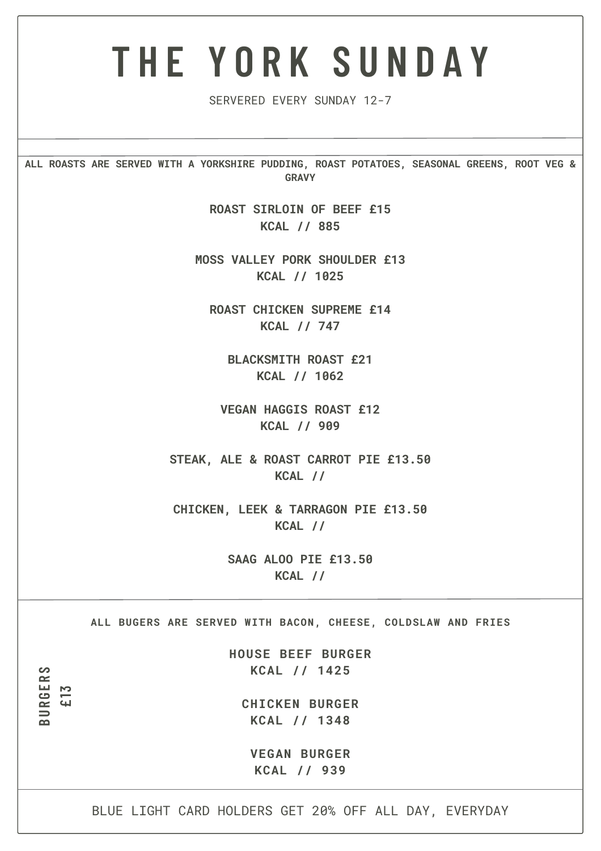## **T H E Y O R K S U N D A Y**

SERVERED EVERY SUNDAY 12-7

**ALL ROASTS ARE SERVED WITH A YORKSHIRE PUDDING, ROAST POTATOES, SEASONAL GREENS, ROOT VEG & GRAVY**

> **ROAST SIRLOIN OF BEEF £15 KCAL // 885**

**MOSS VALLEY PORK SHOULDER £13 KCAL // 1025**

**ROAST CHICKEN SUPREME £14 KCAL // 747**

**BLACKSMITH ROAST £21 KCAL // 1062**

**VEGAN HAGGIS ROAST £12 KCAL // 909**

**STEAK, ALE & ROAST CARROT PIE £13.50 KCAL //**

**CHICKEN, LEEK & TARRAGON PIE £13.50 KCAL //**

> **SAAG ALOO PIE £13.50 KCAL //**

**ALL BUGERS ARE SERVED WITH BACON, CHEESE, COLDSLAW AND FRIES**

**HOUSE BEEF BURGER KCAL // 1425**

**CHICKEN BURGER KCAL // 1348**

**B U R G E R S**

**£1 3**

**VEGAN BURGER KCAL // 939**

BLUE LIGHT CARD HOLDERS GET 20% OFF ALL DAY, EVERYDAY